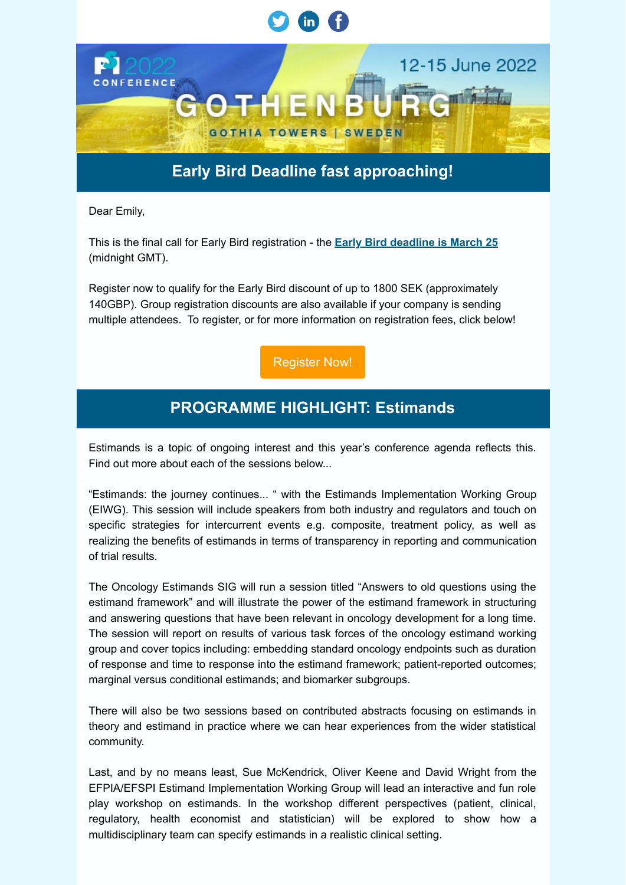

Dear Emily,

This is the final call for Early Bird registration - the **Early Bird deadline is March 25** (midnight GMT).

Register now to qualify for the Early Bird discount of up to 1800 SEK (approximately 140GBP). Group registration discounts are also available if your company is sending multiple attendees. To register, or for more information on registration fees, click below!

[Register Now!](https://psi.glueup.com/track/rd?type=campaign&lid=4&tracking_id=[trackingId]&redirect_url=https%3A%2F%2Fwww.psiweb.org%2Fconferences%2Fconference-registration%2F&ts=1647345300&ps=L0pHQllveDZYR0lzZ2Fkd1lDZzBLZXBoZ2dycGpNRGJ3dDlKYTJRN2pvSVhXYlVtV29rSTFMQWNrQTlJVWZkSCtKTWFZWFBCZXd5U3ZGT3F2bURGeldmak42VFZSWnFwa1NRVm53RjVsWXc9)

## **PROGRAMME HIGHLIGHT: Estimands**

Estimands is a topic of ongoing interest and this year's conference agenda reflects this. Find out more about each of the sessions below...

"Estimands: the journey continues... " with the Estimands Implementation Working Group (EIWG). This session will include speakers from both industry and regulators and touch on specific strategies for intercurrent events e.g. composite, treatment policy, as well as realizing the benefits of estimands in terms of transparency in reporting and communication of trial results.

The Oncology Estimands SIG will run a session titled "Answers to old questions using the estimand framework" and will illustrate the power of the estimand framework in structuring and answering questions that have been relevant in oncology development for a long time. The session will report on results of various task forces of the oncology estimand working group and cover topics including: embedding standard oncology endpoints such as duration of response and time to response into the estimand framework; patient-reported outcomes; marginal versus conditional estimands; and biomarker subgroups.

There will also be two sessions based on contributed abstracts focusing on estimands in theory and estimand in practice where we can hear experiences from the wider statistical community.

Last, and by no means least, Sue McKendrick, Oliver Keene and David Wright from the EFPIA/EFSPI Estimand Implementation Working Group will lead an interactive and fun role play workshop on estimands. In the workshop different perspectives (patient, clinical, regulatory, health economist and statistician) will be explored to show how a multidisciplinary team can specify estimands in a realistic clinical setting.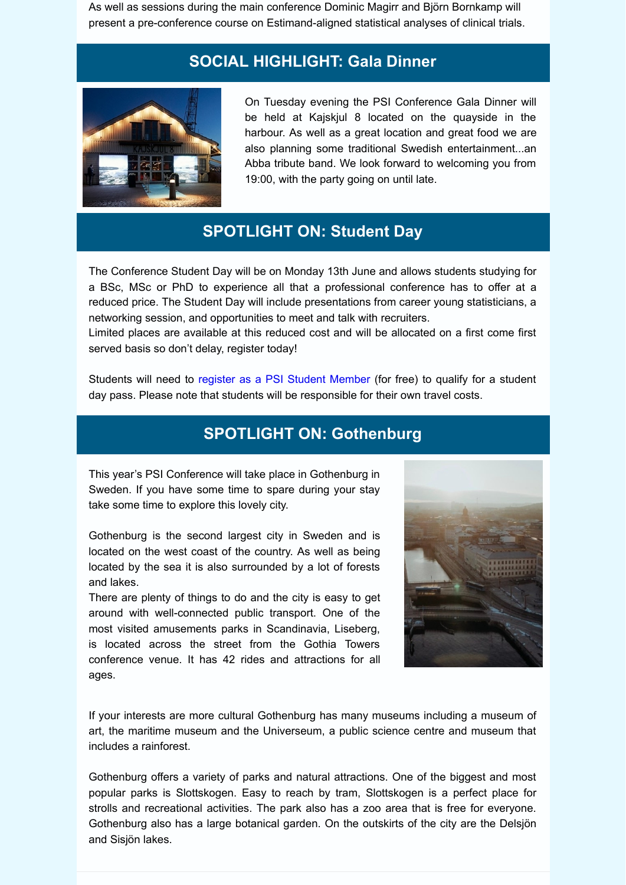As well as sessions during the main conference Dominic Magirr and Björn Bornkamp will present a pre-conference course on Estimand-aligned statistical analyses of clinical trials.

## **SOCIAL HIGHLIGHT: Gala Dinner**



On Tuesday evening the PSI Conference Gala Dinner will be held at Kajskjul 8 located on the quayside in the harbour. As well as a great location and great food we are also planning some traditional Swedish entertainment...an Abba tribute band. We look forward to welcoming you from 19:00, with the party going on until late.

# **SPOTLIGHT ON: Student Day**

The Conference Student Day will be on Monday 13th June and allows students studying for a BSc, MSc or PhD to experience all that a professional conference has to offer at a reduced price. The Student Day will include presentations from career young statisticians, a networking session, and opportunities to meet and talk with recruiters.

Limited places are available at this reduced cost and will be allocated on a first come first served basis so don't delay, register today!

Students will need to [register as a PSI Student Member](https://psi.glueup.com/track/rd?type=campaign&lid=5&tracking_id=[trackingId]&redirect_url=https%3A%2F%2Fpsiweb.org%2Fmembers%2Fjoin-psi&ts=1647345300&ps=MWpmWXpoSGFvSzJ4ZXdUQlVkUm1weXZpT1FMbi9RT2laM1hvd2laTzVQUENSYld5d0dITTdRVHFtaE9MVENVTw==) (for free) to qualify for a student day pass. Please note that students will be responsible for their own travel costs.

## **SPOTLIGHT ON: Gothenburg**

This year's PSI Conference will take place in Gothenburg in Sweden. If you have some time to spare during your stay take some time to explore this lovely city.

Gothenburg is the second largest city in Sweden and is located on the west coast of the country. As well as being located by the sea it is also surrounded by a lot of forests and lakes.

There are plenty of things to do and the city is easy to get around with well-connected public transport. One of the most visited amusements parks in Scandinavia, Liseberg, is located across the street from the Gothia Towers conference venue. It has 42 rides and attractions for all ages.



If your interests are more cultural Gothenburg has many museums including a museum of art, the maritime museum and the Universeum, a public science centre and museum that includes a rainforest.

Gothenburg offers a variety of parks and natural attractions. One of the biggest and most popular parks is Slottskogen. Easy to reach by tram, Slottskogen is a perfect place for strolls and recreational activities. The park also has a zoo area that is free for everyone. Gothenburg also has a large botanical garden. On the outskirts of the city are the Delsjön and Sisjön lakes.